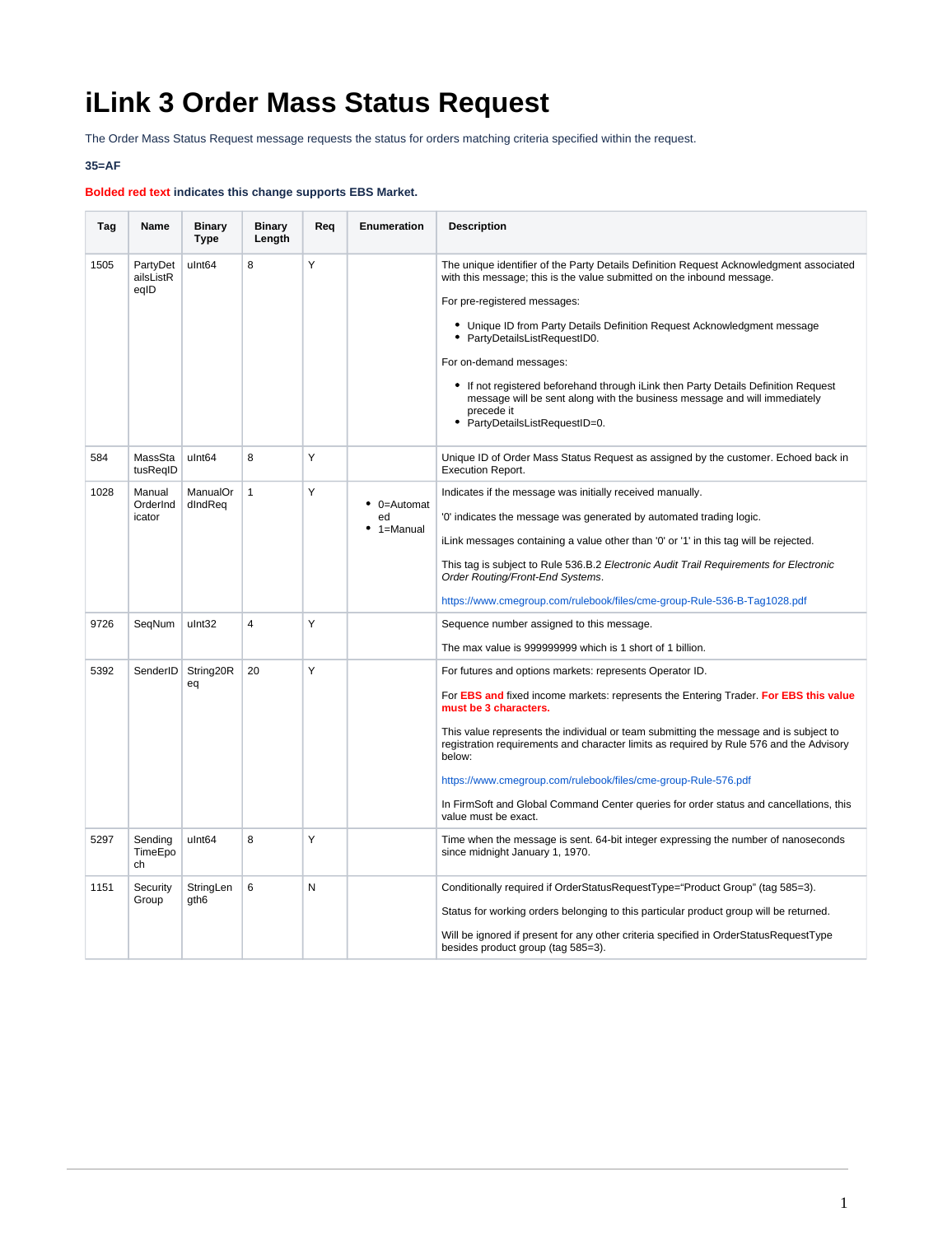## **iLink 3 Order Mass Status Request**

The Order Mass Status Request message requests the status for orders matching criteria specified within the request.

## **35=AF**

## **Bolded red text indicates this change supports EBS Market.**

| Tag  | Name                          | <b>Binary</b><br><b>Type</b>  | <b>Binary</b><br>Length | Req | Enumeration                           | <b>Description</b>                                                                                                                                                                                                                                                                                                                                                                                                                                                                                                                                           |
|------|-------------------------------|-------------------------------|-------------------------|-----|---------------------------------------|--------------------------------------------------------------------------------------------------------------------------------------------------------------------------------------------------------------------------------------------------------------------------------------------------------------------------------------------------------------------------------------------------------------------------------------------------------------------------------------------------------------------------------------------------------------|
| 1505 | PartyDet<br>ailsListR<br>eqID | ulnt <sub>64</sub>            | 8                       | Y   |                                       | The unique identifier of the Party Details Definition Request Acknowledgment associated<br>with this message; this is the value submitted on the inbound message.<br>For pre-registered messages:<br>• Unique ID from Party Details Definition Request Acknowledgment message<br>• PartyDetailsListRequestID0.<br>For on-demand messages:<br>• If not registered beforehand through iLink then Party Details Definition Request<br>message will be sent along with the business message and will immediately<br>precede it<br>• PartyDetailsListRequestID=0. |
| 584  | MassSta<br>tusReqID           | ulnt <sub>64</sub>            | 8                       | Υ   |                                       | Unique ID of Order Mass Status Request as assigned by the customer. Echoed back in<br><b>Execution Report.</b>                                                                                                                                                                                                                                                                                                                                                                                                                                               |
| 1028 | Manual<br>OrderInd<br>icator  | ManualOr<br>dIndReq           | $\mathbf{1}$            | Y   | $\bullet$ 0=Automat<br>ed<br>1=Manual | Indicates if the message was initially received manually.<br>'0' indicates the message was generated by automated trading logic.<br>iLink messages containing a value other than '0' or '1' in this tag will be rejected.<br>This tag is subject to Rule 536.B.2 Electronic Audit Trail Requirements for Electronic<br>Order Routing/Front-End Systems.<br>https://www.cmegroup.com/rulebook/files/cme-group-Rule-536-B-Tag1028.pdf                                                                                                                          |
| 9726 | SegNum                        | ulnt32                        | $\overline{4}$          | Y   |                                       | Sequence number assigned to this message.<br>The max value is 999999999 which is 1 short of 1 billion.                                                                                                                                                                                                                                                                                                                                                                                                                                                       |
| 5392 |                               | SenderID   String20R<br>eq    | 20                      | Y   |                                       | For futures and options markets: represents Operator ID.<br>For EBS and fixed income markets: represents the Entering Trader. For EBS this value<br>must be 3 characters.<br>This value represents the individual or team submitting the message and is subject to<br>registration requirements and character limits as required by Rule 576 and the Advisory<br>below:<br>https://www.cmegroup.com/rulebook/files/cme-group-Rule-576.pdf<br>In FirmSoft and Global Command Center queries for order status and cancellations, this<br>value must be exact.  |
| 5297 | Sending<br>TimeEpo<br>ch      | ulnt <sub>64</sub>            | 8                       | Y   |                                       | Time when the message is sent. 64-bit integer expressing the number of nanoseconds<br>since midnight January 1, 1970.                                                                                                                                                                                                                                                                                                                                                                                                                                        |
| 1151 | Security<br>Group             | StringLen<br>gth <sub>6</sub> | 6                       | N   |                                       | Conditionally required if OrderStatusRequestType="Product Group" (tag 585=3).<br>Status for working orders belonging to this particular product group will be returned.<br>Will be ignored if present for any other criteria specified in OrderStatusRequestType<br>besides product group (tag 585=3).                                                                                                                                                                                                                                                       |